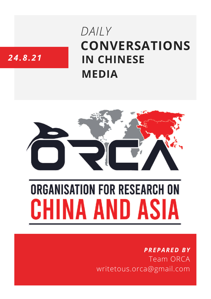# **CONVERSATIONS IN CHINESE MEDIA** *DAILY*

# *24.8.21*



# **ORGANISATION FOR RESEARCH ON** HINA AND ASIA

## *PREPARED BY* Team ORCA writetous.orca@gmail.com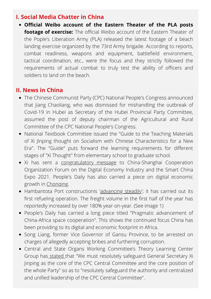#### **I. Social Media Chatter in China**

**Official Weibo account of the Eastern Theater of the PLA posts footage of exercise:** The official Weibo account of the Eastern Theater of the Pople's Liberation Army (PLA) released the latest footage of a beach landing exercise organized by the 73rd Army brigade. According to reports, combat readiness, weapons and equipment, battlefield environment, tactical coordination, etc., were the focus and they strictly followed the requirements of actual combat to truly test the ability of officers and soldiers to land on the beach.

#### **II. News in China**

- The Chinese Communist Party (CPC) National People's Congress announced that Jiang Chaoliang, who was dismissed for mishandling the outbreak of Covid-19 in Hubei as Secretary of the Hubei Provincial Party Committee, assumed the post of deputy chairman of the Agricultural and Rural Committee of the CPC National People's Congress.
- National Textbook Committee issued the "Guide to the Teaching Materials of Xi Jinping thought on Socialism with Chinese Characteristics for a New Era". The "Guide" puts forward the learning requirements for different stages of "Xi Thought" from elementary school to graduate school.
- Xi has sent a [congratulatory](http://paper.people.com.cn/rmrb/html/2021-08/24/nw.D110000renmrb_20210824_1-01.htm) message to China-Shanghai Cooperation Organization Forum on the Digital Economy Industry and the Smart China Expo 2021. People's Daily has also carried a piece on digital economic growth in [Chonqing](http://paper.people.com.cn/rmrb/html/2021-08/24/nw.D110000renmrb_20210824_3-01.htm).
- Hambantota Port constructionis '[advancing](http://paper.people.com.cn/rmrb/html/2021-08/24/nw.D110000renmrb_20210824_3-03.htm) steadily'; it has carried out its first refueling operation. The freight volume in the first half of the year has reportedly increased by over 180% year-on-year. (See image 1)
- People's Daily has carried a long piece titled "Pragmatic advancement of China-Africa space cooperation". This shows the continued focus China has been providing to its digital and economic footprint in Africa.
- Song Liang, former Vice Governor of Gansu Province, to be arrested on charges of allegedly accepting bribes and furthering corruption.
- Central and State Organs Working Committee's Theory Learning Center Group has [stated](http://paper.people.com.cn/rmrb/html/2021-08/24/nw.D110000renmrb_20210824_1-10.htm) that "We must resolutely safeguard General Secretary Xi Jinping as the core of the CPC Central Committee and the core position of the whole Party" so as to "resolutely safeguard the authority and centralized and unified leadership of the CPC Central Committee".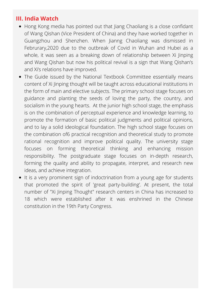### **III. India Watch**

- Hong Kong media has pointed out that liang Chaoliang is a close confidant of Wang Qishan (Vice President of China) and they have worked together in Guangzhou and Shenzhen. When Jianng Chaoliang was dismissed in Februrary,2020 due to the outbreak of Covid in Wuhan and Hubei as a whole, it was seen as a breaking down of relationship between Xi Jinping and Wang Qishan but now his political revival is a sign that Wang Qishan's and Xi's relations have improved.
- The Guide issued by the National Textbook Committee essentially means content of Xi Jinping thought will be taught across educational institutions in the form of main and elective subjects. The primary school stage focuses on guidance and planting the seeds of loving the party, the country, and socialism in the young hearts. At the junior high school stage, the emphasis is on the combination of perceptual experience and knowledge learning, to promote the formation of basic political judgments and political opinions, and to lay a solid ideological foundation. The high school stage focuses on the combination of6 practical recognition and theoretical study to promote rational recognition and improve political quality. The university stage focuses on forming theoretical thinking and enhancing mission responsibility. The postgraduate stage focuses on in-depth research, forming the quality and ability to propagate, interpret, and research new ideas, and achieve integration.
- It is a very prominent sign of indoctrination from a young age for students that promoted the spirit of 'great party-building'. At present, the total number of "Xi Jinping Thought" research centers in China has increased to 18 which were established after it was enshrined in the Chinese constitution in the 19th Party Congress.